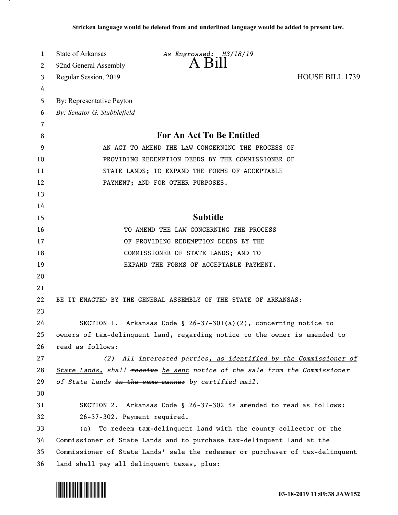| 1  | <b>State of Arkansas</b>                                               | As Engrossed: H3/18/19                                                        |                        |
|----|------------------------------------------------------------------------|-------------------------------------------------------------------------------|------------------------|
| 2  | 92nd General Assembly                                                  | A Bill                                                                        |                        |
| 3  | Regular Session, 2019                                                  |                                                                               | <b>HOUSE BILL 1739</b> |
| 4  |                                                                        |                                                                               |                        |
| 5  | By: Representative Payton                                              |                                                                               |                        |
| 6  | By: Senator G. Stubblefield                                            |                                                                               |                        |
| 7  |                                                                        |                                                                               |                        |
| 8  | <b>For An Act To Be Entitled</b>                                       |                                                                               |                        |
| 9  | AN ACT TO AMEND THE LAW CONCERNING THE PROCESS OF                      |                                                                               |                        |
| 10 |                                                                        | PROVIDING REDEMPTION DEEDS BY THE COMMISSIONER OF                             |                        |
| 11 | STATE LANDS; TO EXPAND THE FORMS OF ACCEPTABLE                         |                                                                               |                        |
| 12 |                                                                        | PAYMENT; AND FOR OTHER PURPOSES.                                              |                        |
| 13 |                                                                        |                                                                               |                        |
| 14 |                                                                        |                                                                               |                        |
| 15 |                                                                        | <b>Subtitle</b>                                                               |                        |
| 16 |                                                                        | TO AMEND THE LAW CONCERNING THE PROCESS                                       |                        |
| 17 |                                                                        | OF PROVIDING REDEMPTION DEEDS BY THE                                          |                        |
| 18 |                                                                        | COMMISSIONER OF STATE LANDS; AND TO                                           |                        |
| 19 |                                                                        | EXPAND THE FORMS OF ACCEPTABLE PAYMENT.                                       |                        |
| 20 |                                                                        |                                                                               |                        |
| 21 |                                                                        |                                                                               |                        |
| 22 |                                                                        | BE IT ENACTED BY THE GENERAL ASSEMBLY OF THE STATE OF ARKANSAS:               |                        |
| 23 |                                                                        |                                                                               |                        |
| 24 |                                                                        | SECTION 1. Arkansas Code § 26-37-301(a)(2), concerning notice to              |                        |
| 25 |                                                                        | owners of tax-delinquent land, regarding notice to the owner is amended to    |                        |
| 26 | read as follows:                                                       |                                                                               |                        |
| 27 | (2)                                                                    | All interested parties, as identified by the Commissioner of                  |                        |
| 28 |                                                                        | State Lands, shall receive be sent notice of the sale from the Commissioner   |                        |
| 29 |                                                                        | of State Lands in the same manner by certified mail.                          |                        |
| 30 |                                                                        |                                                                               |                        |
| 31 |                                                                        | SECTION 2. Arkansas Code § 26-37-302 is amended to read as follows:           |                        |
| 32 | 26-37-302. Payment required.                                           |                                                                               |                        |
| 33 | (a)                                                                    | To redeem tax-delinquent land with the county collector or the                |                        |
| 34 | Commissioner of State Lands and to purchase tax-delinquent land at the |                                                                               |                        |
| 35 |                                                                        | Commissioner of State Lands' sale the redeemer or purchaser of tax-delinquent |                        |
| 36 | land shall pay all delinquent taxes, plus:                             |                                                                               |                        |